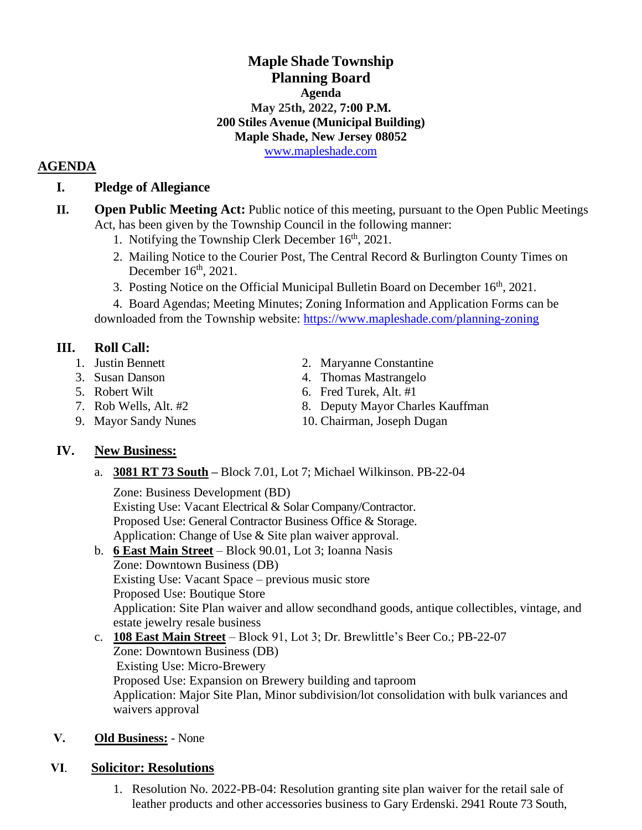# **Maple Shade Township Planning Board Agenda May 25th, 2022, 7:00 P.M. 200 Stiles Avenue (Municipal Building) Maple Shade, New Jersey 08052**

[www.mapleshade.com](http://www.mapleshade.com/)

## **AGENDA**

## **I. Pledge of Allegiance**

- **II. Open Public Meeting Act:** Public notice of this meeting, pursuant to the Open Public Meetings Act, has been given by the Township Council in the following manner:
	- 1. Notifying the Township Clerk December  $16<sup>th</sup>$ , 2021.
	- 2. Mailing Notice to the Courier Post, The Central Record & Burlington County Times on December  $16<sup>th</sup>$ , 2021.
	- 3. Posting Notice on the Official Municipal Bulletin Board on December 16<sup>th</sup>, 2021.

4. Board Agendas; Meeting Minutes; Zoning Information and Application Forms can be downloaded from the Township website:<https://www.mapleshade.com/planning-zoning>

## **III. Roll Call:**

- 
- 
- 
- 
- 
- 1. Justin Bennett 2. Maryanne Constantine
- 3. Susan Danson 4. Thomas Mastrangelo
- 5. Robert Wilt 6. Fred Turek, Alt. #1
- 7. Rob Wells, Alt. #2 8. Deputy Mayor Charles Kauffman
- 9. Mayor Sandy Nunes 10. Chairman, Joseph Dugan

## **IV. New Business:**

a. **3081 RT 73 South –** Block 7.01, Lot 7; Michael Wilkinson. PB-22-04

Zone: Business Development (BD) Existing Use: Vacant Electrical & Solar Company/Contractor. Proposed Use: General Contractor Business Office & Storage. Application: Change of Use & Site plan waiver approval.

- b. **6 East Main Street** Block 90.01, Lot 3; Ioanna Nasis Zone: Downtown Business (DB) Existing Use: Vacant Space – previous music store Proposed Use: Boutique Store Application: Site Plan waiver and allow secondhand goods, antique collectibles, vintage, and estate jewelry resale business
- c. **108 East Main Street** Block 91, Lot 3; Dr. Brewlittle's Beer Co.; PB-22-07 Zone: Downtown Business (DB) Existing Use: Micro-Brewery Proposed Use: Expansion on Brewery building and taproom Application: Major Site Plan, Minor subdivision/lot consolidation with bulk variances and waivers approval

### **Ⅴ. Old Business:** - None

### **Ⅵ**. **Solicitor: Resolutions**

1. Resolution No. 2022-PB-04: Resolution granting site plan waiver for the retail sale of leather products and other accessories business to Gary Erdenski. 2941 Route 73 South,